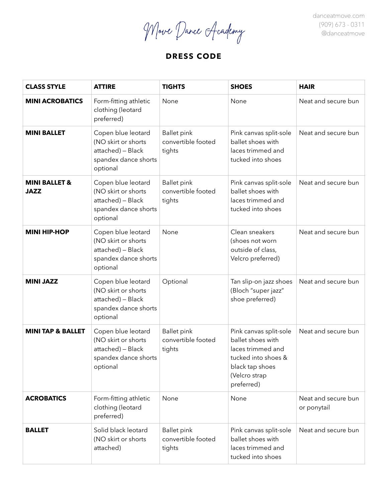Move Dance Academy

danceatmove.com (909) 673 - 0311 @danceatmove

# **DRESS CODE**

| <b>CLASS STYLE</b>                      | <b>ATTIRE</b>                                                                                      | <b>TIGHTS</b>                                      | <b>SHOES</b>                                                                                                                              | <b>HAIR</b>                        |
|-----------------------------------------|----------------------------------------------------------------------------------------------------|----------------------------------------------------|-------------------------------------------------------------------------------------------------------------------------------------------|------------------------------------|
| <b>MINI ACROBATICS</b>                  | Form-fitting athletic<br>clothing (leotard<br>preferred)                                           | None                                               | None                                                                                                                                      | Neat and secure bun                |
| <b>MINI BALLET</b>                      | Copen blue leotard<br>(NO skirt or shorts<br>attached) - Black<br>spandex dance shorts<br>optional | <b>Ballet pink</b><br>convertible footed<br>tights | Pink canvas split-sole<br>ballet shoes with<br>laces trimmed and<br>tucked into shoes                                                     | Neat and secure bun                |
| <b>MINI BALLET &amp;</b><br><b>JAZZ</b> | Copen blue leotard<br>(NO skirt or shorts<br>attached) - Black<br>spandex dance shorts<br>optional | <b>Ballet pink</b><br>convertible footed<br>tights | Pink canvas split-sole<br>ballet shoes with<br>laces trimmed and<br>tucked into shoes                                                     | Neat and secure bun                |
| <b>MINI HIP-HOP</b>                     | Copen blue leotard<br>(NO skirt or shorts<br>attached) - Black<br>spandex dance shorts<br>optional | None                                               | Clean sneakers<br>(shoes not worn<br>outside of class,<br>Velcro preferred)                                                               | Neat and secure bun                |
| <b>MINI JAZZ</b>                        | Copen blue leotard<br>(NO skirt or shorts<br>attached) - Black<br>spandex dance shorts<br>optional | Optional                                           | Tan slip-on jazz shoes<br>(Bloch "super jazz"<br>shoe preferred)                                                                          | Neat and secure bun                |
| <b>MINI TAP &amp; BALLET</b>            | Copen blue leotard<br>(NO skirt or shorts<br>attached) - Black<br>spandex dance shorts<br>optional | <b>Ballet pink</b><br>convertible footed<br>tights | Pink canvas split-sole<br>ballet shoes with<br>laces trimmed and<br>tucked into shoes &<br>black tap shoes<br>(Velcro strap<br>preferred) | Neat and secure bun                |
| <b>ACROBATICS</b>                       | Form-fitting athletic<br>clothing (leotard<br>preferred)                                           | None                                               | None                                                                                                                                      | Neat and secure bun<br>or ponytail |
| <b>BALLET</b>                           | Solid black leotard<br>(NO skirt or shorts<br>attached)                                            | <b>Ballet pink</b><br>convertible footed<br>tights | Pink canvas split-sole<br>ballet shoes with<br>laces trimmed and<br>tucked into shoes                                                     | Neat and secure bun                |